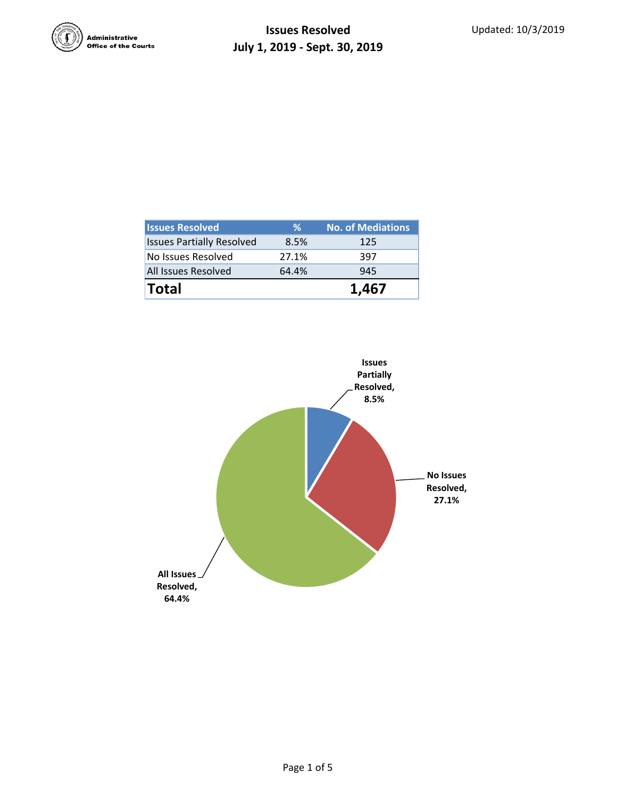

| <b>Total</b>                     |       | 1,467                    |
|----------------------------------|-------|--------------------------|
| All Issues Resolved              | 64.4% | 945                      |
| No Issues Resolved               | 27.1% | 397                      |
| <b>Issues Partially Resolved</b> | 8.5%  | 125                      |
| <b>Issues Resolved</b>           | ℅     | <b>No. of Mediations</b> |

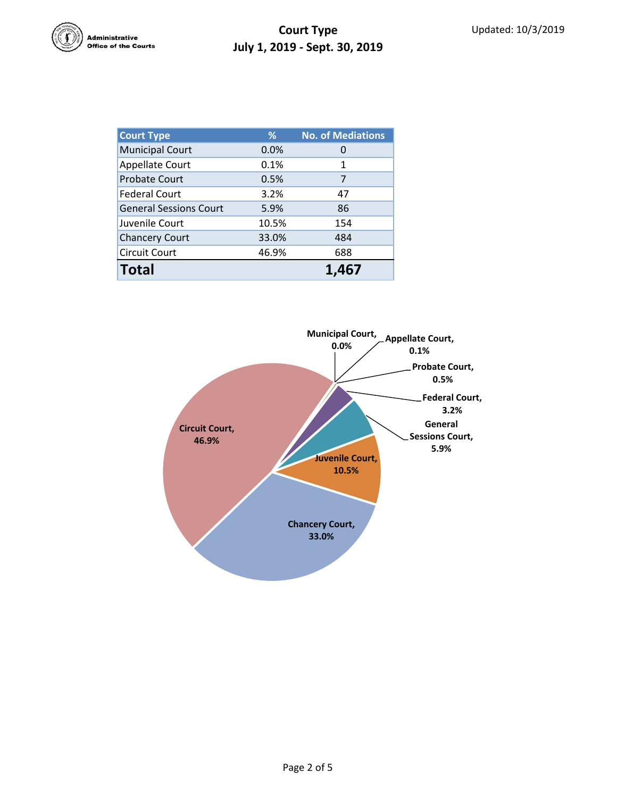

| <b>Court Type</b>             | %     | <b>No. of Mediations</b> |  |  |
|-------------------------------|-------|--------------------------|--|--|
| <b>Municipal Court</b>        | 0.0%  | 0                        |  |  |
| <b>Appellate Court</b>        | 0.1%  | 1                        |  |  |
| <b>Probate Court</b>          | 0.5%  | 7                        |  |  |
| <b>Federal Court</b>          | 3.2%  | 47                       |  |  |
| <b>General Sessions Court</b> | 5.9%  | 86                       |  |  |
| Juvenile Court                | 10.5% | 154                      |  |  |
| <b>Chancery Court</b>         | 33.0% | 484                      |  |  |
| <b>Circuit Court</b>          | 46.9% | 688                      |  |  |
| <b>Total</b>                  |       | 1.4(                     |  |  |

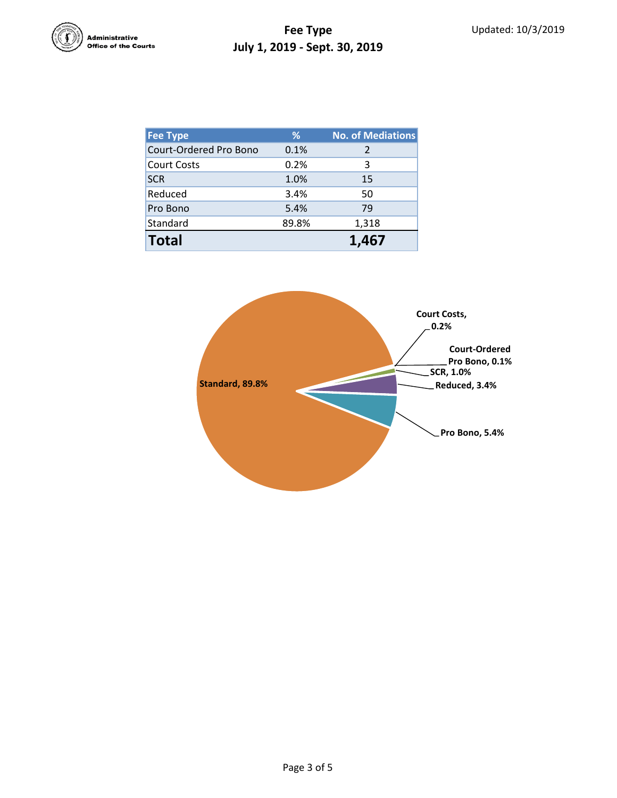

| <b>Fee Type</b>        | %     | <b>No. of Mediations</b> |
|------------------------|-------|--------------------------|
| Court-Ordered Pro Bono | 0.1%  | $\mathcal{P}$            |
| <b>Court Costs</b>     | 0.2%  | 3                        |
| <b>SCR</b>             | 1.0%  | 15                       |
| Reduced                | 3.4%  | 50                       |
| Pro Bono               | 5.4%  | 79                       |
| Standard               | 89.8% | 1,318                    |
| <b>Total</b>           |       | 1.467                    |

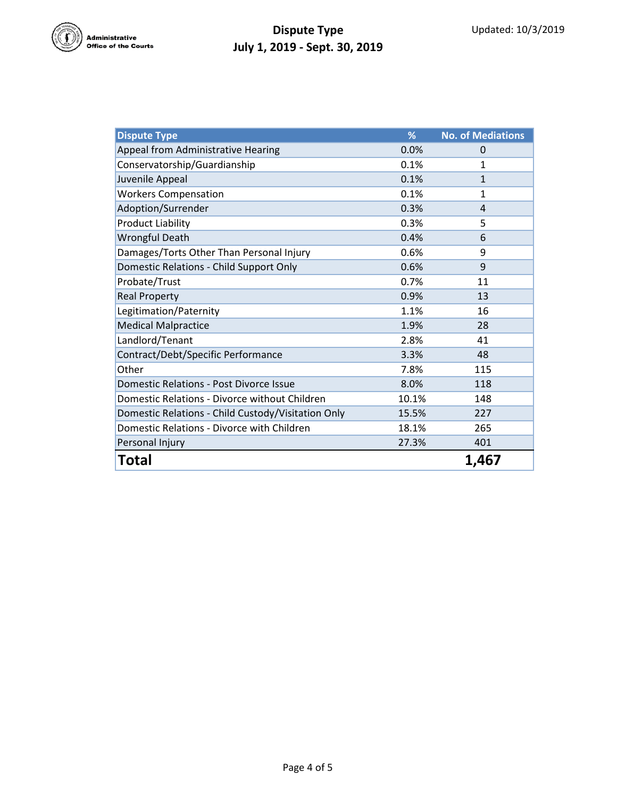

## **Dispute Type July 1, 2019 - Sept. 30, 2019**

| <b>Dispute Type</b>                                | %     | <b>No. of Mediations</b> |
|----------------------------------------------------|-------|--------------------------|
| Appeal from Administrative Hearing                 | 0.0%  | 0                        |
| Conservatorship/Guardianship                       | 0.1%  | 1                        |
| Juvenile Appeal                                    | 0.1%  | $\mathbf{1}$             |
| <b>Workers Compensation</b>                        | 0.1%  | $\mathbf{1}$             |
| Adoption/Surrender                                 | 0.3%  | 4                        |
| <b>Product Liability</b>                           | 0.3%  | 5                        |
| <b>Wrongful Death</b>                              | 0.4%  | 6                        |
| Damages/Torts Other Than Personal Injury           | 0.6%  | 9                        |
| Domestic Relations - Child Support Only            | 0.6%  | 9                        |
| Probate/Trust                                      | 0.7%  | 11                       |
| <b>Real Property</b>                               | 0.9%  | 13                       |
| Legitimation/Paternity                             | 1.1%  | 16                       |
| <b>Medical Malpractice</b>                         | 1.9%  | 28                       |
| Landlord/Tenant                                    | 2.8%  | 41                       |
| Contract/Debt/Specific Performance                 | 3.3%  | 48                       |
| Other                                              | 7.8%  | 115                      |
| <b>Domestic Relations - Post Divorce Issue</b>     | 8.0%  | 118                      |
| Domestic Relations - Divorce without Children      | 10.1% | 148                      |
| Domestic Relations - Child Custody/Visitation Only | 15.5% | 227                      |
| Domestic Relations - Divorce with Children         | 18.1% | 265                      |
| Personal Injury                                    | 27.3% | 401                      |
| Total                                              |       | 1,467                    |